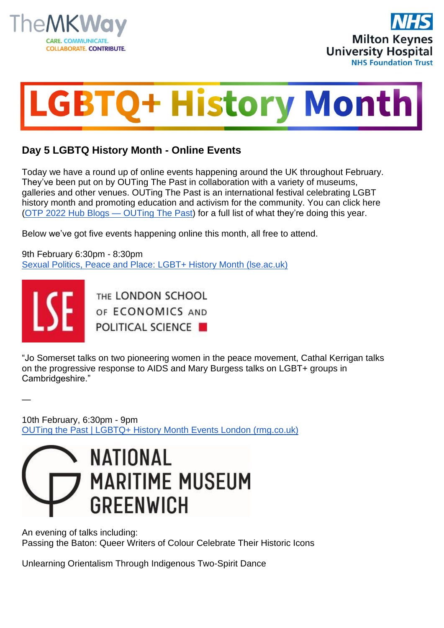





## **Day 5 LGBTQ History Month - Online Events**

Today we have a round up of online events happening around the UK throughout February. They've been put on by OUTing The Past in collaboration with a variety of museums, galleries and other venues. OUTing The Past is an international festival celebrating LGBT history month and promoting education and activism for the community. You can click here (OTP 2022 Hub Blogs — [OUTing](https://gbr01.safelinks.protection.outlook.com/?url=https%3A%2F%2Fwww.outingthepast.com%2Fotp-2022-hub-blogs&data=04%7C01%7CCara.Crotty%40mkuh.nhs.uk%7C40e2ae519db24fc06fdd08d9ea388348%7Ce96dd0a15d474a949e4a5c1056daa82c%7C0%7C0%7C637798350697986204%7CUnknown%7CTWFpbGZsb3d8eyJWIjoiMC4wLjAwMDAiLCJQIjoiV2luMzIiLCJBTiI6Ik1haWwiLCJXVCI6Mn0%3D%7C3000&sdata=VshNthcDkUPDwPYGOI8Cu27Mmo%2BUry%2FCRRfC63hgy6U%3D&reserved=0) The Past) for a full list of what they're doing this year.

Below we've got five events happening online this month, all free to attend.

9th February 6:30pm - 8:30pm Sexual Politics, Peace and Place: LGBT+ History Month [\(lse.ac.uk\)](https://gbr01.safelinks.protection.outlook.com/?url=https%3A%2F%2Fwww.lse.ac.uk%2Flibrary%2Fevents%2Fgeneral%2Fsexual-politics-peace-and-place-lgbt-history-month&data=04%7C01%7CCara.Crotty%40mkuh.nhs.uk%7C40e2ae519db24fc06fdd08d9ea388348%7Ce96dd0a15d474a949e4a5c1056daa82c%7C0%7C0%7C637798350697986204%7CUnknown%7CTWFpbGZsb3d8eyJWIjoiMC4wLjAwMDAiLCJQIjoiV2luMzIiLCJBTiI6Ik1haWwiLCJXVCI6Mn0%3D%7C3000&sdata=mOA1fv%2Br%2FQS3GOb5nVkNOBjaQ6eV96qzWNNN7PuHdQ4%3D&reserved=0)



—

THE LONDON SCHOOL OF ECONOMICS AND **POLITICAL SCIENCE** 

"Jo Somerset talks on two pioneering women in the peace movement, Cathal Kerrigan talks on the progressive response to AIDS and Mary Burgess talks on LGBT+ groups in Cambridgeshire."

10th February, 6:30pm - 9pm OUTing the Past | LGBTQ+ History Month Events London [\(rmg.co.uk\)](https://gbr01.safelinks.protection.outlook.com/?url=https%3A%2F%2Fwww.rmg.co.uk%2Fwhats-on%2Fonline%2Fouting-past&data=04%7C01%7CCara.Crotty%40mkuh.nhs.uk%7C40e2ae519db24fc06fdd08d9ea388348%7Ce96dd0a15d474a949e4a5c1056daa82c%7C0%7C0%7C637798350697986204%7CUnknown%7CTWFpbGZsb3d8eyJWIjoiMC4wLjAwMDAiLCJQIjoiV2luMzIiLCJBTiI6Ik1haWwiLCJXVCI6Mn0%3D%7C3000&sdata=YeNIKQnHBJ5gE2T7wfbqsT2bfyspO%2FsxgvHgmBaBr5Q%3D&reserved=0)



An evening of talks including: Passing the Baton: Queer Writers of Colour Celebrate Their Historic Icons

Unlearning Orientalism Through Indigenous Two-Spirit Dance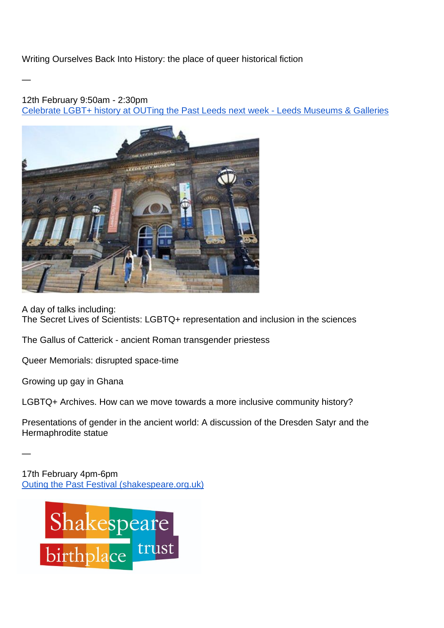Writing Ourselves Back Into History: the place of queer historical fiction

12th February 9:50am - 2:30pm [Celebrate](https://gbr01.safelinks.protection.outlook.com/?url=https%3A%2F%2Fmuseumsandgalleries.leeds.gov.uk%2Fengagement%2Fcommunity-engagement%2Fcelebrate-lgbt-history-at-outing-the-past-leeds-next-week%2F&data=04%7C01%7CCara.Crotty%40mkuh.nhs.uk%7C40e2ae519db24fc06fdd08d9ea388348%7Ce96dd0a15d474a949e4a5c1056daa82c%7C0%7C0%7C637798350698142430%7CUnknown%7CTWFpbGZsb3d8eyJWIjoiMC4wLjAwMDAiLCJQIjoiV2luMzIiLCJBTiI6Ik1haWwiLCJXVCI6Mn0%3D%7C3000&sdata=Yo22%2FjUv4sGqAFdRvZGKelQeNjCE8DsXIXW2TUqLvyA%3D&reserved=0) LGBT+ history at OUTing the Past Leeds next week - Leeds Museums & Galleries



A day of talks including: The Secret Lives of Scientists: LGBTQ+ representation and inclusion in the sciences

The Gallus of Catterick - ancient Roman transgender priestess

Queer Memorials: disrupted space-time

Growing up gay in Ghana

LGBTQ+ Archives. How can we move towards a more inclusive community history?

Presentations of gender in the ancient world: A discussion of the Dresden Satyr and the Hermaphrodite statue

—

—

17th February 4pm-6pm Outing the Past Festival [\(shakespeare.org.uk\)](https://gbr01.safelinks.protection.outlook.com/?url=https%3A%2F%2Fwww.shakespeare.org.uk%2Fvisit%2Fwhats-on%2Fouting-past-festival-2022%2F&data=04%7C01%7CCara.Crotty%40mkuh.nhs.uk%7C40e2ae519db24fc06fdd08d9ea388348%7Ce96dd0a15d474a949e4a5c1056daa82c%7C0%7C0%7C637798350698142430%7CUnknown%7CTWFpbGZsb3d8eyJWIjoiMC4wLjAwMDAiLCJQIjoiV2luMzIiLCJBTiI6Ik1haWwiLCJXVCI6Mn0%3D%7C3000&sdata=nwgl4WUnohFySE8%2FMRLLkGh2%2BVrQXTzYIVWx51DJmZA%3D&reserved=0)